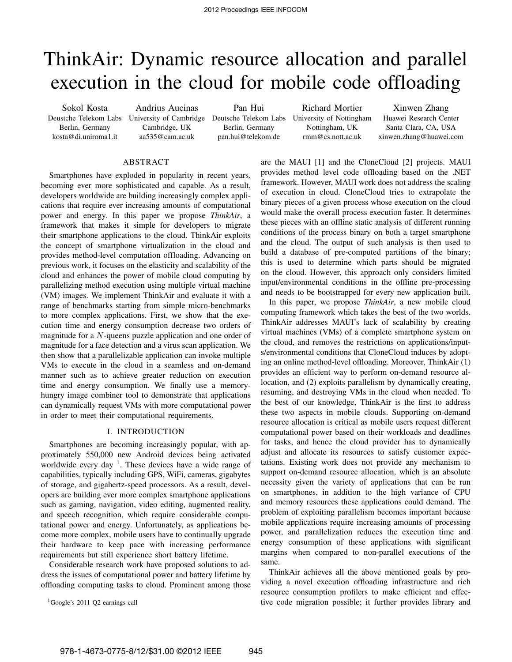# ThinkAir: Dynamic resource allocation and parallel execution in the cloud for mobile code offloading

Sokol Kosta Berlin, Germany kosta@di.uniroma1.it Andrius Aucinas Cambridge, UK aa535@cam.ac.uk

Pan Hui Berlin, Germany pan.hui@telekom.de

Deustche Telekom Labs University of Cambridge Deutsche Telekom Labs University of Nottingham Richard Mortier Nottingham, UK rmm@cs.nott.ac.uk

Xinwen Zhang Huawei Research Center Santa Clara, CA, USA xinwen.zhang@huawei.com

## ABSTRACT

Smartphones have exploded in popularity in recent years, becoming ever more sophisticated and capable. As a result, developers worldwide are building increasingly complex applications that require ever increasing amounts of computational power and energy. In this paper we propose *ThinkAir*, a framework that makes it simple for developers to migrate their smartphone applications to the cloud. ThinkAir exploits the concept of smartphone virtualization in the cloud and provides method-level computation offloading. Advancing on previous work, it focuses on the elasticity and scalability of the cloud and enhances the power of mobile cloud computing by parallelizing method execution using multiple virtual machine (VM) images. We implement ThinkAir and evaluate it with a range of benchmarks starting from simple micro-benchmarks to more complex applications. First, we show that the execution time and energy consumption decrease two orders of magnitude for a N-queens puzzle application and one order of magnitude for a face detection and a virus scan application. We then show that a parallelizable application can invoke multiple VMs to execute in the cloud in a seamless and on-demand manner such as to achieve greater reduction on execution time and energy consumption. We finally use a memoryhungry image combiner tool to demonstrate that applications can dynamically request VMs with more computational power in order to meet their computational requirements.

## I. INTRODUCTION

Smartphones are becoming increasingly popular, with approximately 550,000 new Android devices being activated worldwide every day  $1$ . These devices have a wide range of capabilities, typically including GPS, WiFi, cameras, gigabytes of storage, and gigahertz-speed processors. As a result, developers are building ever more complex smartphone applications such as gaming, navigation, video editing, augmented reality, and speech recognition, which require considerable computational power and energy. Unfortunately, as applications become more complex, mobile users have to continually upgrade their hardware to keep pace with increasing performance requirements but still experience short battery lifetime.

Considerable research work have proposed solutions to address the issues of computational power and battery lifetime by offloading computing tasks to cloud. Prominent among those

<sup>1</sup>Google's 2011 Q2 earnings call

are the MAUI [1] and the CloneCloud [2] projects. MAUI provides method level code offloading based on the .NET framework. However, MAUI work does not address the scaling of execution in cloud. CloneCloud tries to extrapolate the binary pieces of a given process whose execution on the cloud would make the overall process execution faster. It determines these pieces with an offline static analysis of different running conditions of the process binary on both a target smartphone and the cloud. The output of such analysis is then used to build a database of pre-computed partitions of the binary; this is used to determine which parts should be migrated on the cloud. However, this approach only considers limited input/environmental conditions in the offline pre-processing and needs to be bootstrapped for every new application built.

In this paper, we propose *ThinkAir*, a new mobile cloud computing framework which takes the best of the two worlds. ThinkAir addresses MAUI's lack of scalability by creating virtual machines (VMs) of a complete smartphone system on the cloud, and removes the restrictions on applications/inputs/environmental conditions that CloneCloud induces by adopting an online method-level offloading. Moreover, ThinkAir (1) provides an efficient way to perform on-demand resource allocation, and (2) exploits parallelism by dynamically creating, resuming, and destroying VMs in the cloud when needed. To the best of our knowledge, ThinkAir is the first to address these two aspects in mobile clouds. Supporting on-demand resource allocation is critical as mobile users request different computational power based on their workloads and deadlines for tasks, and hence the cloud provider has to dynamically adjust and allocate its resources to satisfy customer expectations. Existing work does not provide any mechanism to support on-demand resource allocation, which is an absolute necessity given the variety of applications that can be run on smartphones, in addition to the high variance of CPU and memory resources these applications could demand. The problem of exploiting parallelism becomes important because mobile applications require increasing amounts of processing power, and parallelization reduces the execution time and energy consumption of these applications with significant margins when compared to non-parallel executions of the same.

ThinkAir achieves all the above mentioned goals by providing a novel execution offloading infrastructure and rich resource consumption profilers to make efficient and effective code migration possible; it further provides library and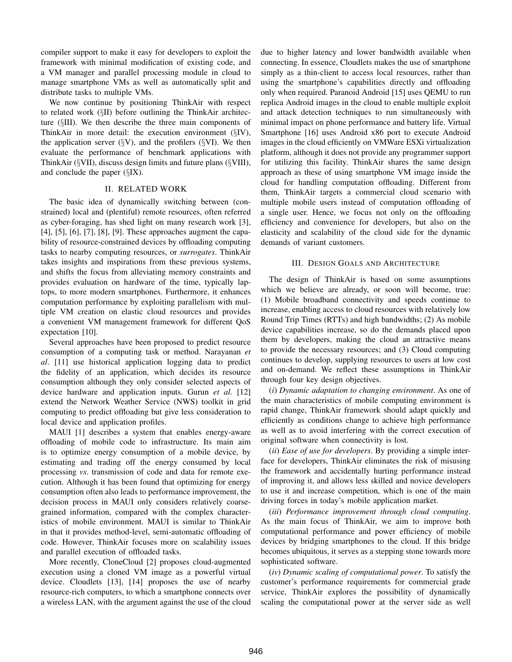compiler support to make it easy for developers to exploit the framework with minimal modification of existing code, and a VM manager and parallel processing module in cloud to manage smartphone VMs as well as automatically split and distribute tasks to multiple VMs.

We now continue by positioning ThinkAir with respect to related work (§II) before outlining the ThinkAir architecture (§III). We then describe the three main components of ThinkAir in more detail: the execution environment (§IV), the application server ( $\S$ V), and the profilers ( $\S$ VI). We then evaluate the performance of benchmark applications with ThinkAir (§VII), discuss design limits and future plans (§VIII), and conclude the paper (§IX).

## II. RELATED WORK

The basic idea of dynamically switching between (constrained) local and (plentiful) remote resources, often referred as cyber-foraging, has shed light on many research work [3], [4], [5], [6], [7], [8], [9]. These approaches augment the capability of resource-constrained devices by offloading computing tasks to nearby computing resources, or *surrogates*. ThinkAir takes insights and inspirations from these previous systems, and shifts the focus from alleviating memory constraints and provides evaluation on hardware of the time, typically laptops, to more modern smartphones. Furthermore, it enhances computation performance by exploiting parallelism with multiple VM creation on elastic cloud resources and provides a convenient VM management framework for different QoS expectation [10].

Several approaches have been proposed to predict resource consumption of a computing task or method. Narayanan *et al*. [11] use historical application logging data to predict the fidelity of an application, which decides its resource consumption although they only consider selected aspects of device hardware and application inputs. Gurun *et al*. [12] extend the Network Weather Service (NWS) toolkit in grid computing to predict offloading but give less consideration to local device and application profiles.

MAUI [1] describes a system that enables energy-aware offloading of mobile code to infrastructure. Its main aim is to optimize energy consumption of a mobile device, by estimating and trading off the energy consumed by local processing *vs*. transmission of code and data for remote execution. Although it has been found that optimizing for energy consumption often also leads to performance improvement, the decision process in MAUI only considers relatively coarsegrained information, compared with the complex characteristics of mobile environment. MAUI is similar to ThinkAir in that it provides method-level, semi-automatic offloading of code. However, ThinkAir focuses more on scalability issues and parallel execution of offloaded tasks.

More recently, CloneCloud [2] proposes cloud-augmented execution using a cloned VM image as a powerful virtual device. Cloudlets [13], [14] proposes the use of nearby resource-rich computers, to which a smartphone connects over a wireless LAN, with the argument against the use of the cloud due to higher latency and lower bandwidth available when connecting. In essence, Cloudlets makes the use of smartphone simply as a thin-client to access local resources, rather than using the smartphone's capabilities directly and offloading only when required. Paranoid Android [15] uses QEMU to run replica Android images in the cloud to enable multiple exploit and attack detection techniques to run simultaneously with minimal impact on phone performance and battery life. Virtual Smartphone [16] uses Android x86 port to execute Android images in the cloud efficiently on VMWare ESXi virtualization platform, although it does not provide any programmer support for utilizing this facility. ThinkAir shares the same design approach as these of using smartphone VM image inside the cloud for handling computation offloading. Different from them, ThinkAir targets a commercial cloud scenario with multiple mobile users instead of computation offloading of a single user. Hence, we focus not only on the offloading efficiency and convenience for developers, but also on the elasticity and scalability of the cloud side for the dynamic demands of variant customers.

### III. DESIGN GOALS AND ARCHITECTURE

The design of ThinkAir is based on some assumptions which we believe are already, or soon will become, true: (1) Mobile broadband connectivity and speeds continue to increase, enabling access to cloud resources with relatively low Round Trip Times (RTTs) and high bandwidths; (2) As mobile device capabilities increase, so do the demands placed upon them by developers, making the cloud an attractive means to provide the necessary resources; and (3) Cloud computing continues to develop, supplying resources to users at low cost and on-demand. We reflect these assumptions in ThinkAir through four key design objectives.

(*i*) *Dynamic adaptation to changing environment*. As one of the main characteristics of mobile computing environment is rapid change, ThinkAir framework should adapt quickly and efficiently as conditions change to achieve high performance as well as to avoid interfering with the correct execution of original software when connectivity is lost.

(*ii*) *Ease of use for developers*. By providing a simple interface for developers, ThinkAir eliminates the risk of misusing the framework and accidentally hurting performance instead of improving it, and allows less skilled and novice developers to use it and increase competition, which is one of the main driving forces in today's mobile application market.

(*iii*) *Performance improvement through cloud computing*. As the main focus of ThinkAir, we aim to improve both computational performance and power efficiency of mobile devices by bridging smartphones to the cloud. If this bridge becomes ubiquitous, it serves as a stepping stone towards more sophisticated software.

(*iv*) *Dynamic scaling of computational power*. To satisfy the customer's performance requirements for commercial grade service, ThinkAir explores the possibility of dynamically scaling the computational power at the server side as well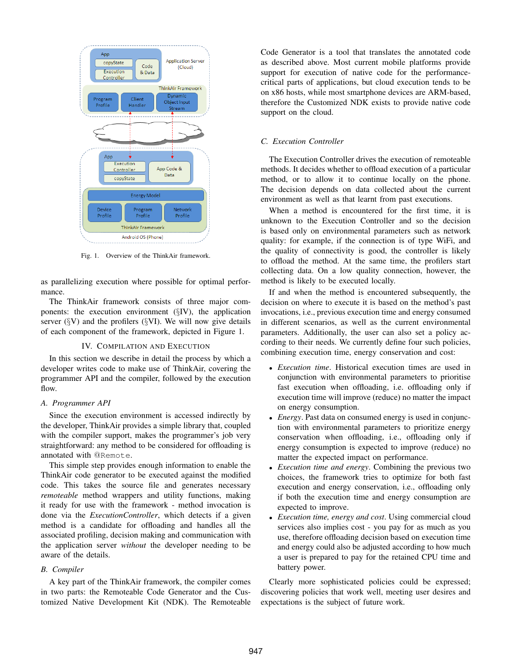

Fig. 1. Overview of the ThinkAir framework.

as parallelizing execution where possible for optimal performance.

The ThinkAir framework consists of three major components: the execution environment (§IV), the application server  $(\S V)$  and the profilers  $(\S VI)$ . We will now give details of each component of the framework, depicted in Figure 1.

#### IV. COMPILATION AND EXECUTION

In this section we describe in detail the process by which a developer writes code to make use of ThinkAir, covering the programmer API and the compiler, followed by the execution flow.

#### *A. Programmer API*

Since the execution environment is accessed indirectly by the developer, ThinkAir provides a simple library that, coupled with the compiler support, makes the programmer's job very straightforward: any method to be considered for offloading is annotated with @Remote.

This simple step provides enough information to enable the ThinkAir code generator to be executed against the modified code. This takes the source file and generates necessary *remoteable* method wrappers and utility functions, making it ready for use with the framework - method invocation is done via the *ExecutionController*, which detects if a given method is a candidate for offloading and handles all the associated profiling, decision making and communication with the application server *without* the developer needing to be aware of the details.

## *B. Compiler*

A key part of the ThinkAir framework, the compiler comes in two parts: the Remoteable Code Generator and the Customized Native Development Kit (NDK). The Remoteable Code Generator is a tool that translates the annotated code as described above. Most current mobile platforms provide support for execution of native code for the performancecritical parts of applications, but cloud execution tends to be on x86 hosts, while most smartphone devices are ARM-based, therefore the Customized NDK exists to provide native code support on the cloud.

## *C. Execution Controller*

The Execution Controller drives the execution of remoteable methods. It decides whether to offload execution of a particular method, or to allow it to continue locally on the phone. The decision depends on data collected about the current environment as well as that learnt from past executions.

When a method is encountered for the first time, it is unknown to the Execution Controller and so the decision is based only on environmental parameters such as network quality: for example, if the connection is of type WiFi, and the quality of connectivity is good, the controller is likely to offload the method. At the same time, the profilers start collecting data. On a low quality connection, however, the method is likely to be executed locally.

If and when the method is encountered subsequently, the decision on where to execute it is based on the method's past invocations, i.e., previous execution time and energy consumed in different scenarios, as well as the current environmental parameters. Additionally, the user can also set a policy according to their needs. We currently define four such policies, combining execution time, energy conservation and cost:

- *Execution time*. Historical execution times are used in conjunction with environmental parameters to prioritise fast execution when offloading, i.e. offloading only if execution time will improve (reduce) no matter the impact on energy consumption.
- *Energy*. Past data on consumed energy is used in conjunction with environmental parameters to prioritize energy conservation when offloading, i.e., offloading only if energy consumption is expected to improve (reduce) no matter the expected impact on performance.
- *Execution time and energy*. Combining the previous two choices, the framework tries to optimize for both fast execution and energy conservation, i.e., offloading only if both the execution time and energy consumption are expected to improve.
- *Execution time, energy and cost*. Using commercial cloud services also implies cost - you pay for as much as you use, therefore offloading decision based on execution time and energy could also be adjusted according to how much a user is prepared to pay for the retained CPU time and battery power.

Clearly more sophisticated policies could be expressed; discovering policies that work well, meeting user desires and expectations is the subject of future work.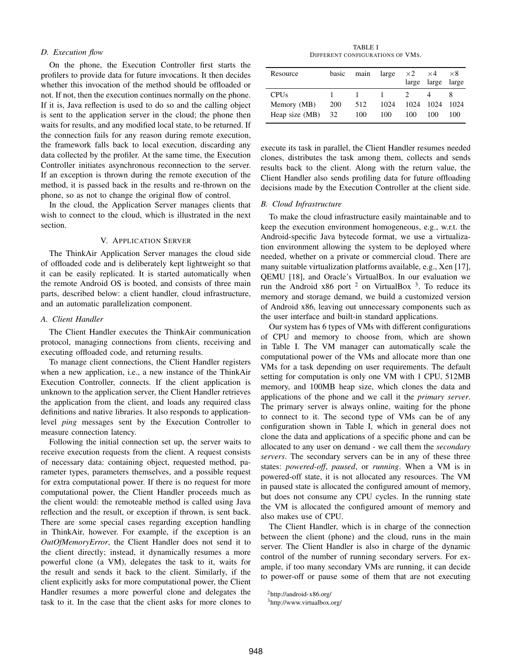## *D. Execution flow*

On the phone, the Execution Controller first starts the profilers to provide data for future invocations. It then decides whether this invocation of the method should be offloaded or not. If not, then the execution continues normally on the phone. If it is, Java reflection is used to do so and the calling object is sent to the application server in the cloud; the phone then waits for results, and any modified local state, to be returned. If the connection fails for any reason during remote execution, the framework falls back to local execution, discarding any data collected by the profiler. At the same time, the Execution Controller initiates asynchronous reconnection to the server. If an exception is thrown during the remote execution of the method, it is passed back in the results and re-thrown on the phone, so as not to change the original flow of control.

In the cloud, the Application Server manages clients that wish to connect to the cloud, which is illustrated in the next section.

## V. APPLICATION SERVER

The ThinkAir Application Server manages the cloud side of offloaded code and is deliberately kept lightweight so that it can be easily replicated. It is started automatically when the remote Android OS is booted, and consists of three main parts, described below: a client handler, cloud infrastructure, and an automatic parallelization component.

#### *A. Client Handler*

The Client Handler executes the ThinkAir communication protocol, managing connections from clients, receiving and executing offloaded code, and returning results.

To manage client connections, the Client Handler registers when a new application, i.e., a new instance of the ThinkAir Execution Controller, connects. If the client application is unknown to the application server, the Client Handler retrieves the application from the client, and loads any required class definitions and native libraries. It also responds to applicationlevel *ping* messages sent by the Execution Controller to measure connection latency.

Following the initial connection set up, the server waits to receive execution requests from the client. A request consists of necessary data: containing object, requested method, parameter types, parameters themselves, and a possible request for extra computational power. If there is no request for more computational power, the Client Handler proceeds much as the client would: the remoteable method is called using Java reflection and the result, or exception if thrown, is sent back. There are some special cases regarding exception handling in ThinkAir, however. For example, if the exception is an *OutOfMemoryError*, the Client Handler does not send it to the client directly; instead, it dynamically resumes a more powerful clone (a VM), delegates the task to it, waits for the result and sends it back to the client. Similarly, if the client explicitly asks for more computational power, the Client Handler resumes a more powerful clone and delegates the task to it. In the case that the client asks for more clones to

TABLE I DIFFERENT CONFIGURATIONS OF VMS.

| Resource       | basic      | main | large        |      | $\times2$ $\times4$<br>large large large | $\times 8$ |
|----------------|------------|------|--------------|------|------------------------------------------|------------|
| <b>CPUs</b>    |            |      | $\mathbf{1}$ |      |                                          |            |
| Memory (MB)    | <b>200</b> | 512  | 1024         | 1024 | 1024                                     | -1024      |
| Heap size (MB) | 32         | 100  | 100          | 100  | 100.                                     | 100        |

execute its task in parallel, the Client Handler resumes needed clones, distributes the task among them, collects and sends results back to the client. Along with the return value, the Client Handler also sends profiling data for future offloading decisions made by the Execution Controller at the client side.

### *B. Cloud Infrastructure*

To make the cloud infrastructure easily maintainable and to keep the execution environment homogeneous, e.g., w.r.t. the Android-specific Java bytecode format, we use a virtualization environment allowing the system to be deployed where needed, whether on a private or commercial cloud. There are many suitable virtualization platforms available, e.g., Xen [17], QEMU [18], and Oracle's VirtualBox. In our evaluation we run the Android  $x86$  port <sup>2</sup> on VirtualBox <sup>3</sup>. To reduce its memory and storage demand, we build a customized version of Android x86, leaving out unnecessary components such as the user interface and built-in standard applications.

Our system has 6 types of VMs with different configurations of CPU and memory to choose from, which are shown in Table I. The VM manager can automatically scale the computational power of the VMs and allocate more than one VMs for a task depending on user requirements. The default setting for computation is only one VM with 1 CPU, 512MB memory, and 100MB heap size, which clones the data and applications of the phone and we call it the *primary server*. The primary server is always online, waiting for the phone to connect to it. The second type of VMs can be of any configuration shown in Table I, which in general does not clone the data and applications of a specific phone and can be allocated to any user on demand - we call them the *secondary servers*. The secondary servers can be in any of these three states: *powered-off*, *paused*, or *running*. When a VM is in powered-off state, it is not allocated any resources. The VM in paused state is allocated the configured amount of memory, but does not consume any CPU cycles. In the running state the VM is allocated the configured amount of memory and also makes use of CPU.

The Client Handler, which is in charge of the connection between the client (phone) and the cloud, runs in the main server. The Client Handler is also in charge of the dynamic control of the number of running secondary servers. For example, if too many secondary VMs are running, it can decide to power-off or pause some of them that are not executing

<sup>2</sup>http://android-x86.org/

<sup>3</sup>http://www.virtualbox.org/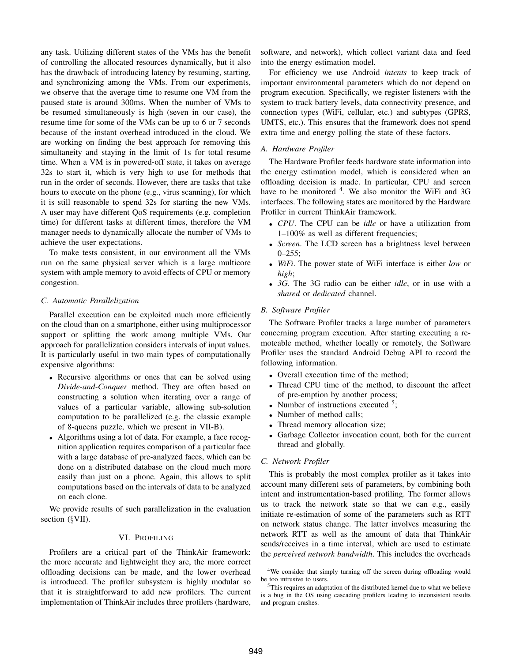any task. Utilizing different states of the VMs has the benefit of controlling the allocated resources dynamically, but it also has the drawback of introducing latency by resuming, starting, and synchronizing among the VMs. From our experiments, we observe that the average time to resume one VM from the paused state is around 300ms. When the number of VMs to be resumed simultaneously is high (seven in our case), the resume time for some of the VMs can be up to 6 or 7 seconds because of the instant overhead introduced in the cloud. We are working on finding the best approach for removing this simultaneity and staying in the limit of 1s for total resume time. When a VM is in powered-off state, it takes on average 32s to start it, which is very high to use for methods that run in the order of seconds. However, there are tasks that take hours to execute on the phone (e.g., virus scanning), for which it is still reasonable to spend 32s for starting the new VMs. A user may have different QoS requirements (e.g. completion time) for different tasks at different times, therefore the VM manager needs to dynamically allocate the number of VMs to achieve the user expectations.

To make tests consistent, in our environment all the VMs run on the same physical server which is a large multicore system with ample memory to avoid effects of CPU or memory congestion.

## *C. Automatic Parallelization*

Parallel execution can be exploited much more efficiently on the cloud than on a smartphone, either using multiprocessor support or splitting the work among multiple VMs. Our approach for parallelization considers intervals of input values. It is particularly useful in two main types of computationally expensive algorithms:

- Recursive algorithms or ones that can be solved using *Divide-and-Conquer* method. They are often based on constructing a solution when iterating over a range of values of a particular variable, allowing sub-solution computation to be parallelized (e.g. the classic example of 8-queens puzzle, which we present in VII-B).
- Algorithms using a lot of data. For example, a face recognition application requires comparison of a particular face with a large database of pre-analyzed faces, which can be done on a distributed database on the cloud much more easily than just on a phone. Again, this allows to split computations based on the intervals of data to be analyzed on each clone.

We provide results of such parallelization in the evaluation section (§VII).

## VI. PROFILING

Profilers are a critical part of the ThinkAir framework: the more accurate and lightweight they are, the more correct offloading decisions can be made, and the lower overhead is introduced. The profiler subsystem is highly modular so that it is straightforward to add new profilers. The current implementation of ThinkAir includes three profilers (hardware,

software, and network), which collect variant data and feed into the energy estimation model.

For efficiency we use Android *intents* to keep track of important environmental parameters which do not depend on program execution. Specifically, we register listeners with the system to track battery levels, data connectivity presence, and connection types (WiFi, cellular, etc.) and subtypes (GPRS, UMTS, etc.). This ensures that the framework does not spend extra time and energy polling the state of these factors.

# *A. Hardware Profiler*

The Hardware Profiler feeds hardware state information into the energy estimation model, which is considered when an offloading decision is made. In particular, CPU and screen have to be monitored <sup>4</sup>. We also monitor the WiFi and 3G interfaces. The following states are monitored by the Hardware Profiler in current ThinkAir framework.

- *CPU*. The CPU can be *idle* or have a utilization from 1–100% as well as different frequencies;
- *Screen*. The LCD screen has a brightness level between  $0 - 255$ ;
- *WiFi*. The power state of WiFi interface is either *low* or *high*;
- *3G*. The 3G radio can be either *idle*, or in use with a *shared* or *dedicated* channel.

#### *B. Software Profiler*

The Software Profiler tracks a large number of parameters concerning program execution. After starting executing a remoteable method, whether locally or remotely, the Software Profiler uses the standard Android Debug API to record the following information.

- Overall execution time of the method;
- Thread CPU time of the method, to discount the affect of pre-emption by another process;
- Number of instructions executed  $5$ ;
- Number of method calls;
- Thread memory allocation size;
- Garbage Collector invocation count, both for the current thread and globally.

## *C. Network Profiler*

This is probably the most complex profiler as it takes into account many different sets of parameters, by combining both intent and instrumentation-based profiling. The former allows us to track the network state so that we can e.g., easily initiate re-estimation of some of the parameters such as RTT on network status change. The latter involves measuring the network RTT as well as the amount of data that ThinkAir sends/receives in a time interval, which are used to estimate the *perceived network bandwidth*. This includes the overheads

<sup>&</sup>lt;sup>4</sup>We consider that simply turning off the screen during offloading would be too intrusive to users.

<sup>5</sup>This requires an adaptation of the distributed kernel due to what we believe is a bug in the OS using cascading profilers leading to inconsistent results and program crashes.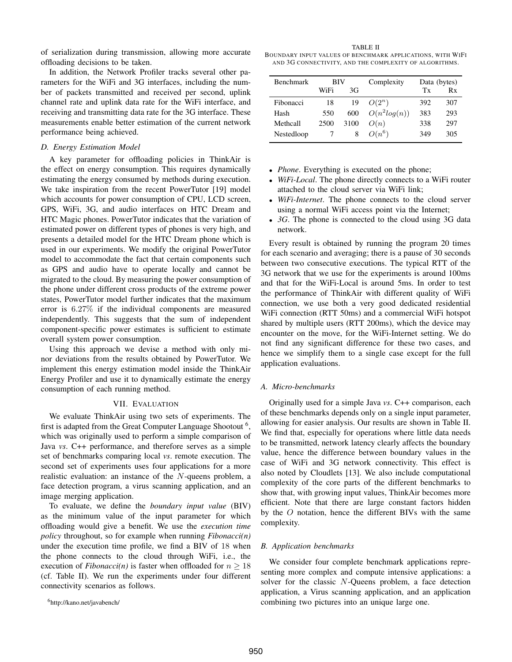of serialization during transmission, allowing more accurate offloading decisions to be taken.

In addition, the Network Profiler tracks several other parameters for the WiFi and 3G interfaces, including the number of packets transmitted and received per second, uplink channel rate and uplink data rate for the WiFi interface, and receiving and transmitting data rate for the 3G interface. These measurements enable better estimation of the current network performance being achieved.

#### *D. Energy Estimation Model*

A key parameter for offloading policies in ThinkAir is the effect on energy consumption. This requires dynamically estimating the energy consumed by methods during execution. We take inspiration from the recent PowerTutor [19] model which accounts for power consumption of CPU, LCD screen, GPS, WiFi, 3G, and audio interfaces on HTC Dream and HTC Magic phones. PowerTutor indicates that the variation of estimated power on different types of phones is very high, and presents a detailed model for the HTC Dream phone which is used in our experiments. We modify the original PowerTutor model to accommodate the fact that certain components such as GPS and audio have to operate locally and cannot be migrated to the cloud. By measuring the power consumption of the phone under different cross products of the extreme power states, PowerTutor model further indicates that the maximum error is 6.27% if the individual components are measured independently. This suggests that the sum of independent component-specific power estimates is sufficient to estimate overall system power consumption.

Using this approach we devise a method with only minor deviations from the results obtained by PowerTutor. We implement this energy estimation model inside the ThinkAir Energy Profiler and use it to dynamically estimate the energy consumption of each running method.

## VII. EVALUATION

We evaluate ThinkAir using two sets of experiments. The first is adapted from the Great Computer Language Shootout <sup>6</sup>, which was originally used to perform a simple comparison of Java *vs*. C++ performance, and therefore serves as a simple set of benchmarks comparing local *vs*. remote execution. The second set of experiments uses four applications for a more realistic evaluation: an instance of the N-queens problem, a face detection program, a virus scanning application, and an image merging application.

To evaluate, we define the *boundary input value* (BIV) as the minimum value of the input parameter for which offloading would give a benefit. We use the *execution time policy* throughout, so for example when running *Fibonacci(n)* under the execution time profile, we find a BIV of 18 when the phone connects to the cloud through WiFi, i.e., the execution of *Fibonacci*(*n*) is faster when offloaded for  $n \geq 18$ (cf. Table II). We run the experiments under four different connectivity scenarios as follows.

<sup>6</sup>http://kano.net/javabench/

TABLE II BOUNDARY INPUT VALUES OF BENCHMARK APPLICATIONS, WITH WIFI AND 3G CONNECTIVITY, AND THE COMPLEXITY OF ALGORITHMS.

| <b>Benchmark</b> | BIV  |      | Complexity     | Data (bytes) |     |
|------------------|------|------|----------------|--------------|-----|
|                  | WiFi | 3G   |                | Тx           | Rx  |
| Fibonacci        | 18   | 19   | $O(2^n)$       | 392          | 307 |
| Hash             | 550  | 600  | $O(n^2log(n))$ | 383          | 293 |
| Methcall         | 2500 | 3100 | O(n)           | 338          | 297 |
| Nestedloop       |      | 8    | $O(n^6)$       | 349          | 305 |

- *Phone*. Everything is executed on the phone;
- *WiFi-Local*. The phone directly connects to a WiFi router attached to the cloud server via WiFi link;
- *WiFi-Internet*. The phone connects to the cloud server using a normal WiFi access point via the Internet;
- *3G*. The phone is connected to the cloud using 3G data network.

Every result is obtained by running the program 20 times for each scenario and averaging; there is a pause of 30 seconds between two consecutive executions. The typical RTT of the 3G network that we use for the experiments is around 100ms and that for the WiFi-Local is around 5ms. In order to test the performance of ThinkAir with different quality of WiFi connection, we use both a very good dedicated residential WiFi connection (RTT 50ms) and a commercial WiFi hotspot shared by multiple users (RTT 200ms), which the device may encounter on the move, for the WiFi-Internet setting. We do not find any significant difference for these two cases, and hence we simplify them to a single case except for the full application evaluations.

#### *A. Micro-benchmarks*

Originally used for a simple Java *vs*. C++ comparison, each of these benchmarks depends only on a single input parameter, allowing for easier analysis. Our results are shown in Table II. We find that, especially for operations where little data needs to be transmitted, network latency clearly affects the boundary value, hence the difference between boundary values in the case of WiFi and 3G network connectivity. This effect is also noted by Cloudlets [13]. We also include computational complexity of the core parts of the different benchmarks to show that, with growing input values, ThinkAir becomes more efficient. Note that there are large constant factors hidden by the  $O$  notation, hence the different BIVs with the same complexity.

#### *B. Application benchmarks*

We consider four complete benchmark applications representing more complex and compute intensive applications: a solver for the classic N-Queens problem, a face detection application, a Virus scanning application, and an application combining two pictures into an unique large one.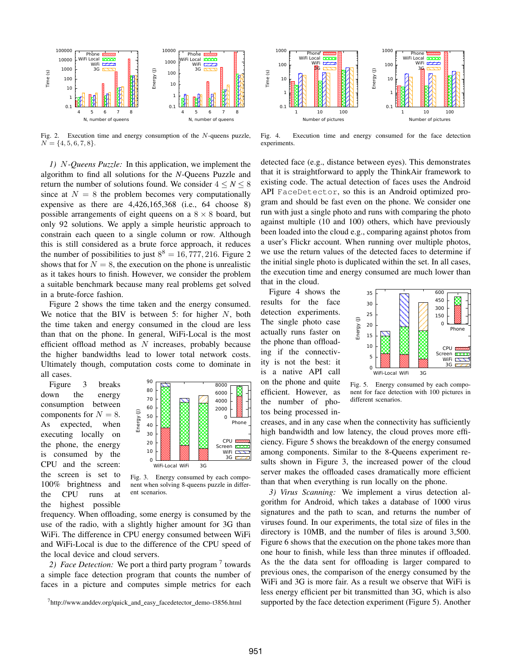

Fig. 2. Execution time and energy consumption of the N-queens puzzle,  $N = \{4, 5, 6, 7, 8\}.$ 

*1)* N*-Queens Puzzle:* In this application, we implement the algorithm to find all solutions for the *N*-Queens Puzzle and return the number of solutions found. We consider  $4 \le N \le 8$ since at  $N = 8$  the problem becomes very computationally expensive as there are 4,426,165,368 (i.e., 64 choose 8) possible arrangements of eight queens on a  $8 \times 8$  board, but only 92 solutions. We apply a simple heuristic approach to constrain each queen to a single column or row. Although this is still considered as a brute force approach, it reduces the number of possibilities to just  $8^8 = 16,777,216$ . Figure 2 shows that for  $N = 8$ , the execution on the phone is unrealistic as it takes hours to finish. However, we consider the problem a suitable benchmark because many real problems get solved in a brute-force fashion.

Figure 2 shows the time taken and the energy consumed. We notice that the BIV is between 5: for higher  $N$ , both the time taken and energy consumed in the cloud are less than that on the phone. In general, WiFi-Local is the most efficient offload method as  $N$  increases, probably because the higher bandwidths lead to lower total network costs. Ultimately though, computation costs come to dominate in all cases.

Figure 3 breaks down the energy consumption between components for  $N = 8$ . As expected, when executing locally on the phone, the energy is consumed by the CPU and the screen: the screen is set to 100% brightness and the CPU runs at the highest possible



Fig. 3. Energy consumed by each component when solving 8-queens puzzle in different scenarios.

frequency. When offloading, some energy is consumed by the use of the radio, with a slightly higher amount for 3G than WiFi. The difference in CPU energy consumed between WiFi and WiFi-Local is due to the difference of the CPU speed of the local device and cloud servers.

2) Face Detection: We port a third party program<sup>7</sup> towards a simple face detection program that counts the number of faces in a picture and computes simple metrics for each

<sup>7</sup>http://www.anddev.org/quick\_and\_easy\_facedetector\_demo-t3856.html



Fig. 4. Execution time and energy consumed for the face detection experiments.

detected face (e.g., distance between eyes). This demonstrates that it is straightforward to apply the ThinkAir framework to existing code. The actual detection of faces uses the Android API FaceDetector, so this is an Android optimized program and should be fast even on the phone. We consider one run with just a single photo and runs with comparing the photo against multiple (10 and 100) others, which have previously been loaded into the cloud e.g., comparing against photos from a user's Flickr account. When running over multiple photos, we use the return values of the detected faces to determine if the initial single photo is duplicated within the set. In all cases, the execution time and energy consumed are much lower than that in the cloud.

Figure 4 shows the results for the face detection experiments. The single photo case actually runs faster on the phone than offloading if the connectivity is not the best: it is a native API call on the phone and quite efficient. However, as the number of photos being processed in-



Fig. 5. Energy consumed by each component for face detection with 100 pictures in different scenarios.

creases, and in any case when the connectivity has sufficiently high bandwidth and low latency, the cloud proves more efficiency. Figure 5 shows the breakdown of the energy consumed among components. Similar to the 8-Queens experiment results shown in Figure 3, the increased power of the cloud server makes the offloaded cases dramatically more efficient than that when everything is run locally on the phone.

*3) Virus Scanning:* We implement a virus detection algorithm for Android, which takes a database of 1000 virus signatures and the path to scan, and returns the number of viruses found. In our experiments, the total size of files in the directory is 10MB, and the number of files is around 3,500. Figure 6 shows that the execution on the phone takes more than one hour to finish, while less than three minutes if offloaded. As the the data sent for offloading is larger compared to previous ones, the comparison of the energy consumed by the WiFi and 3G is more fair. As a result we observe that WiFi is less energy efficient per bit transmitted than 3G, which is also supported by the face detection experiment (Figure 5). Another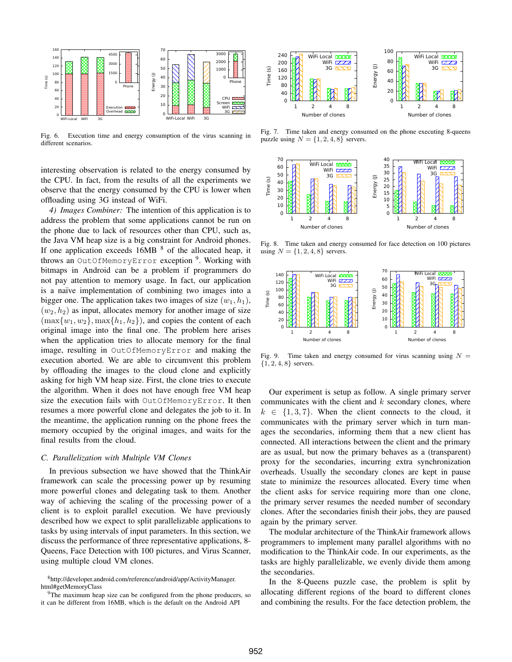

Fig. 6. Execution time and energy consumption of the virus scanning in different scenarios.

interesting observation is related to the energy consumed by the CPU. In fact, from the results of all the experiments we observe that the energy consumed by the CPU is lower when offloading using 3G instead of WiFi.

*4) Images Combiner:* The intention of this application is to address the problem that some applications cannot be run on the phone due to lack of resources other than CPU, such as, the Java VM heap size is a big constraint for Android phones. If one application exceeds  $16MB<sup>8</sup>$  of the allocated heap, it throws an OutOfMemoryError exception <sup>9</sup>. Working with bitmaps in Android can be a problem if programmers do not pay attention to memory usage. In fact, our application is a naïve implementation of combining two images into a bigger one. The application takes two images of size  $(w_1, h_1)$ ,  $(w_2, h_2)$  as input, allocates memory for another image of size  $(\max\{w_1, w_2\}, \max\{h_1, h_2\})$ , and copies the content of each original image into the final one. The problem here arises when the application tries to allocate memory for the final image, resulting in OutOfMemoryError and making the execution aborted. We are able to circumvent this problem by offloading the images to the cloud clone and explicitly asking for high VM heap size. First, the clone tries to execute the algorithm. When it does not have enough free VM heap size the execution fails with OutOfMemoryError. It then resumes a more powerful clone and delegates the job to it. In the meantime, the application running on the phone frees the memory occupied by the original images, and waits for the final results from the cloud.

## *C. Parallelization with Multiple VM Clones*

In previous subsection we have showed that the ThinkAir framework can scale the processing power up by resuming more powerful clones and delegating task to them. Another way of achieving the scaling of the processing power of a client is to exploit parallel execution. We have previously described how we expect to split parallelizable applications to tasks by using intervals of input parameters. In this section, we discuss the performance of three representative applications, 8- Queens, Face Detection with 100 pictures, and Virus Scanner, using multiple cloud VM clones.



Fig. 7. Time taken and energy consumed on the phone executing 8-queens puzzle using  $N = \{1, 2, 4, 8\}$  servers.



Fig. 8. Time taken and energy consumed for face detection on 100 pictures using  $N = \{1, 2, 4, 8\}$  servers.



Fig. 9. Time taken and energy consumed for virus scanning using  $N =$  ${1, 2, 4, 8}$  servers.

Our experiment is setup as follow. A single primary server communicates with the client and  $k$  secondary clones, where  $k \in \{1, 3, 7\}$ . When the client connects to the cloud, it communicates with the primary server which in turn manages the secondaries, informing them that a new client has connected. All interactions between the client and the primary are as usual, but now the primary behaves as a (transparent) proxy for the secondaries, incurring extra synchronization overheads. Usually the secondary clones are kept in pause state to minimize the resources allocated. Every time when the client asks for service requiring more than one clone, the primary server resumes the needed number of secondary clones. After the secondaries finish their jobs, they are paused again by the primary server.

The modular architecture of the ThinkAir framework allows programmers to implement many parallel algorithms with no modification to the ThinkAir code. In our experiments, as the tasks are highly parallelizable, we evenly divide them among the secondaries.

In the 8-Queens puzzle case, the problem is split by allocating different regions of the board to different clones and combining the results. For the face detection problem, the

<sup>8</sup>http://developer.android.com/reference/android/app/ActivityManager. html#getMemoryClass

<sup>&</sup>lt;sup>9</sup>The maximum heap size can be configured from the phone producers, so it can be different from 16MB, which is the default on the Android API